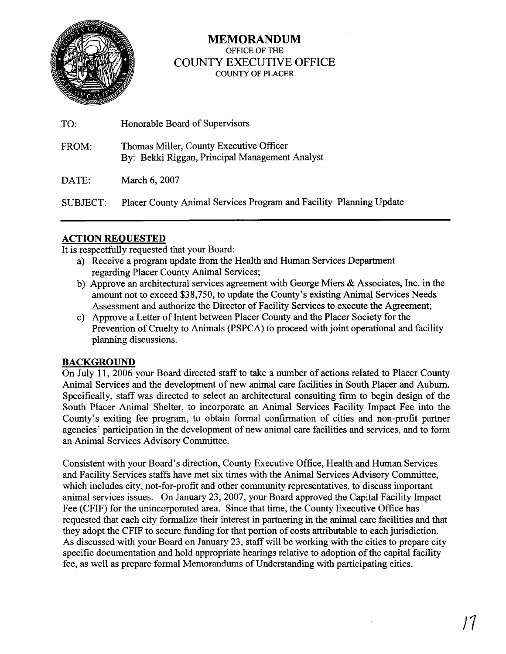

## **MEMORANDUM**  OFFICE OF THE COUNTY EXECUTIVE OFFICE COUNTY OF PLACER

| TO:      | Honorable Board of Supervisors                                                            |
|----------|-------------------------------------------------------------------------------------------|
| FROM:    | Thomas Miller, County Executive Officer<br>By: Bekki Riggan, Principal Management Analyst |
| DATE:    | March 6, 2007                                                                             |
| SUBJECT: | Placer County Animal Services Program and Facility Planning Update                        |

## **ACTION REQUESTED**

It is respecthlly requested that your Board:

- a) Receive a program update from the Health and Human Services Department regarding Placer County Animal Services;
- b) Approve an architectural services agreement with George Miers & Associates, Inc. in the amount not to exceed \$38,750, to update the County's existing Animal Services Needs Assessment and authorize the Director of Facility Services to execute the Agreement;
- c) Approve a Letter of Intent between Placer County and the Placer Society for the Prevention of Cruelty to Animals (PSPCA) to proceed with joint operational and facility planning discussions.

## **BACKGROUND**

On July 11, 2006 your Board directed staff to take a number of actions related to Placer County Animal Services and the development of new animal care facilities in South Placer and Auburn. Specifically, staff was directed to select an architectural consulting firm to begin design of the South Placer Animal Shelter, to incorporate an Animal Services Facility Impact Fee into the County's exiting fee program, to obtain formal confirmation of cities and non-profit partner agencies' participation in the development of new animal care facilities and services, and to form an Animal Services Advisory Committee.

Consistent with your Board's direction, County Executive Office, Health and Human Services and Facility Services staffs have met six times with the Animal Services Advisory Committee, which includes city, not-for-profit and other community representatives, to discuss important animal services issues. On January 23,2007, your Board approved the Capital Facility Impact Fee (CFIF) for the unincorporated area. Since that time, the County Executive Ofice has requested that each city formalize their interest in partnering in the animal care facilities and that they adopt the CFIF to secure funding for that portion of costs attributable to each jurisdiction. As discussed with your Board on January **23,** staff will be working with the cities to prepare city specific documentation and hold appropriate hearings relative to adoption of the capital facility fee, as well as prepare formal Memorandums of Understanding with participating cities.